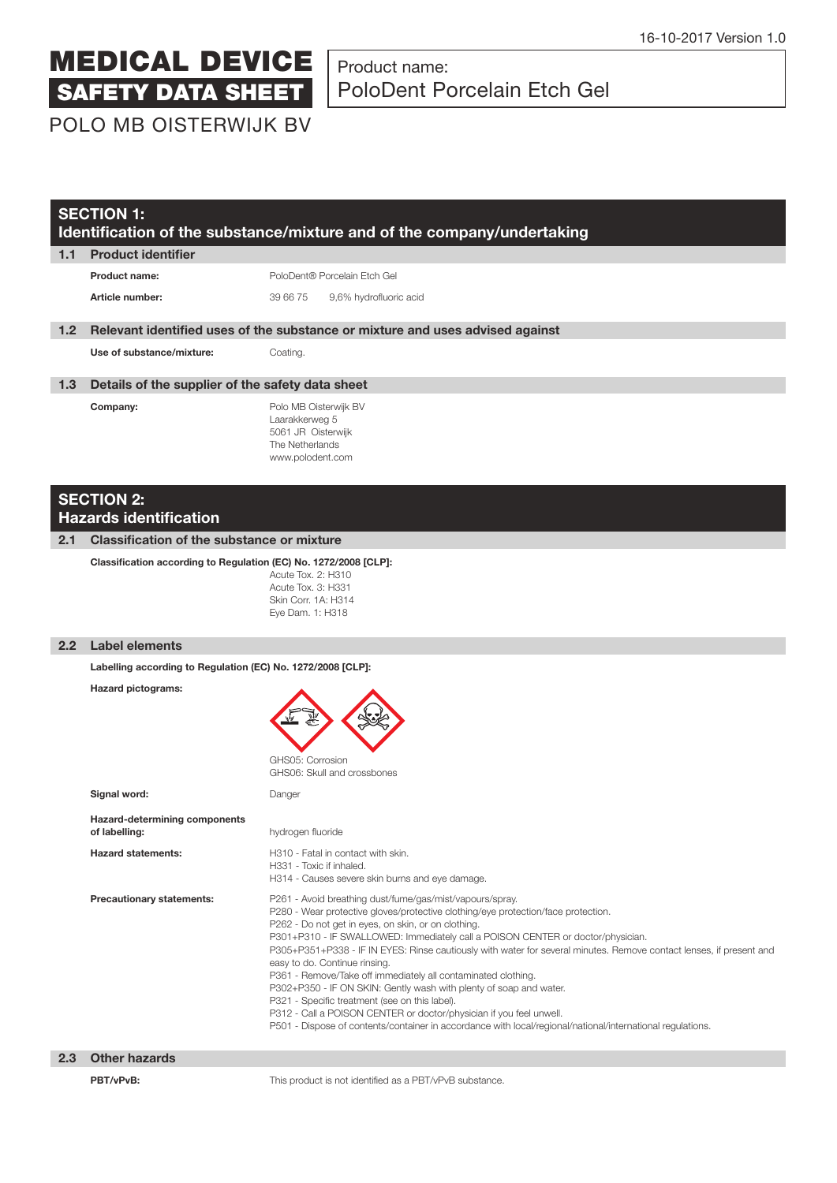# Product name: PoloDent Porcelain Etch Gel

POLO MB OISTERWIJK BV

|                  | <b>SECTION 1:</b><br>Identification of the substance/mixture and of the company/undertaking |                                                                                                                                                                                                                                                                                                                                                                                                                                                                                                                                                                                                                                                                                                                                                                                                                               |  |  |  |
|------------------|---------------------------------------------------------------------------------------------|-------------------------------------------------------------------------------------------------------------------------------------------------------------------------------------------------------------------------------------------------------------------------------------------------------------------------------------------------------------------------------------------------------------------------------------------------------------------------------------------------------------------------------------------------------------------------------------------------------------------------------------------------------------------------------------------------------------------------------------------------------------------------------------------------------------------------------|--|--|--|
| 1.1              | <b>Product identifier</b>                                                                   |                                                                                                                                                                                                                                                                                                                                                                                                                                                                                                                                                                                                                                                                                                                                                                                                                               |  |  |  |
|                  | <b>Product name:</b>                                                                        | PoloDent® Porcelain Etch Gel                                                                                                                                                                                                                                                                                                                                                                                                                                                                                                                                                                                                                                                                                                                                                                                                  |  |  |  |
|                  | Article number:                                                                             | 39 66 75<br>9,6% hydrofluoric acid                                                                                                                                                                                                                                                                                                                                                                                                                                                                                                                                                                                                                                                                                                                                                                                            |  |  |  |
| 1.2 <sub>2</sub> |                                                                                             | Relevant identified uses of the substance or mixture and uses advised against                                                                                                                                                                                                                                                                                                                                                                                                                                                                                                                                                                                                                                                                                                                                                 |  |  |  |
|                  | Use of substance/mixture:                                                                   | Coating.                                                                                                                                                                                                                                                                                                                                                                                                                                                                                                                                                                                                                                                                                                                                                                                                                      |  |  |  |
| 1.3 <sub>1</sub> | Details of the supplier of the safety data sheet                                            |                                                                                                                                                                                                                                                                                                                                                                                                                                                                                                                                                                                                                                                                                                                                                                                                                               |  |  |  |
|                  | Company:                                                                                    | Polo MB Oisterwijk BV<br>Laarakkerweg 5<br>5061 JR Oisterwijk<br>The Netherlands<br>www.polodent.com                                                                                                                                                                                                                                                                                                                                                                                                                                                                                                                                                                                                                                                                                                                          |  |  |  |
|                  | <b>SECTION 2:</b><br><b>Hazards identification</b>                                          |                                                                                                                                                                                                                                                                                                                                                                                                                                                                                                                                                                                                                                                                                                                                                                                                                               |  |  |  |
| 2.1              | <b>Classification of the substance or mixture</b>                                           |                                                                                                                                                                                                                                                                                                                                                                                                                                                                                                                                                                                                                                                                                                                                                                                                                               |  |  |  |
|                  | Classification according to Regulation (EC) No. 1272/2008 [CLP]:                            | Acute Tox. 2: H310<br>Acute Tox. 3: H331<br>Skin Corr. 1A: H314<br>Eye Dam. 1: H318                                                                                                                                                                                                                                                                                                                                                                                                                                                                                                                                                                                                                                                                                                                                           |  |  |  |
| 2.2              | <b>Label elements</b>                                                                       |                                                                                                                                                                                                                                                                                                                                                                                                                                                                                                                                                                                                                                                                                                                                                                                                                               |  |  |  |
|                  | Labelling according to Regulation (EC) No. 1272/2008 [CLP]:                                 |                                                                                                                                                                                                                                                                                                                                                                                                                                                                                                                                                                                                                                                                                                                                                                                                                               |  |  |  |
|                  | <b>Hazard pictograms:</b>                                                                   | GHS05: Corrosion<br>GHS06: Skull and crossbones                                                                                                                                                                                                                                                                                                                                                                                                                                                                                                                                                                                                                                                                                                                                                                               |  |  |  |
|                  | Signal word:                                                                                | Danger                                                                                                                                                                                                                                                                                                                                                                                                                                                                                                                                                                                                                                                                                                                                                                                                                        |  |  |  |
|                  | Hazard-determining components<br>of labelling:                                              | hydrogen fluoride                                                                                                                                                                                                                                                                                                                                                                                                                                                                                                                                                                                                                                                                                                                                                                                                             |  |  |  |
|                  | <b>Hazard statements:</b>                                                                   | H310 - Fatal in contact with skin.<br>H331 - Toxic if inhaled.<br>H314 - Causes severe skin burns and eye damage.                                                                                                                                                                                                                                                                                                                                                                                                                                                                                                                                                                                                                                                                                                             |  |  |  |
|                  | <b>Precautionary statements:</b>                                                            | P261 - Avoid breathing dust/fume/gas/mist/vapours/spray.<br>P280 - Wear protective gloves/protective clothing/eye protection/face protection.<br>P262 - Do not get in eyes, on skin, or on clothing.<br>P301+P310 - IF SWALLOWED: Immediately call a POISON CENTER or doctor/physician.<br>P305+P351+P338 - IF IN EYES: Rinse cautiously with water for several minutes. Remove contact lenses, if present and<br>easy to do. Continue rinsing.<br>P361 - Remove/Take off immediately all contaminated clothing.<br>P302+P350 - IF ON SKIN: Gently wash with plenty of soap and water.<br>P321 - Specific treatment (see on this label).<br>P312 - Call a POISON CENTER or doctor/physician if you feel unwell.<br>P501 - Dispose of contents/container in accordance with local/regional/national/international regulations. |  |  |  |
| 2.3              | <b>Other hazards</b>                                                                        |                                                                                                                                                                                                                                                                                                                                                                                                                                                                                                                                                                                                                                                                                                                                                                                                                               |  |  |  |
|                  | PBT/vPvB:                                                                                   | This product is not identified as a PBT/vPvB substance.                                                                                                                                                                                                                                                                                                                                                                                                                                                                                                                                                                                                                                                                                                                                                                       |  |  |  |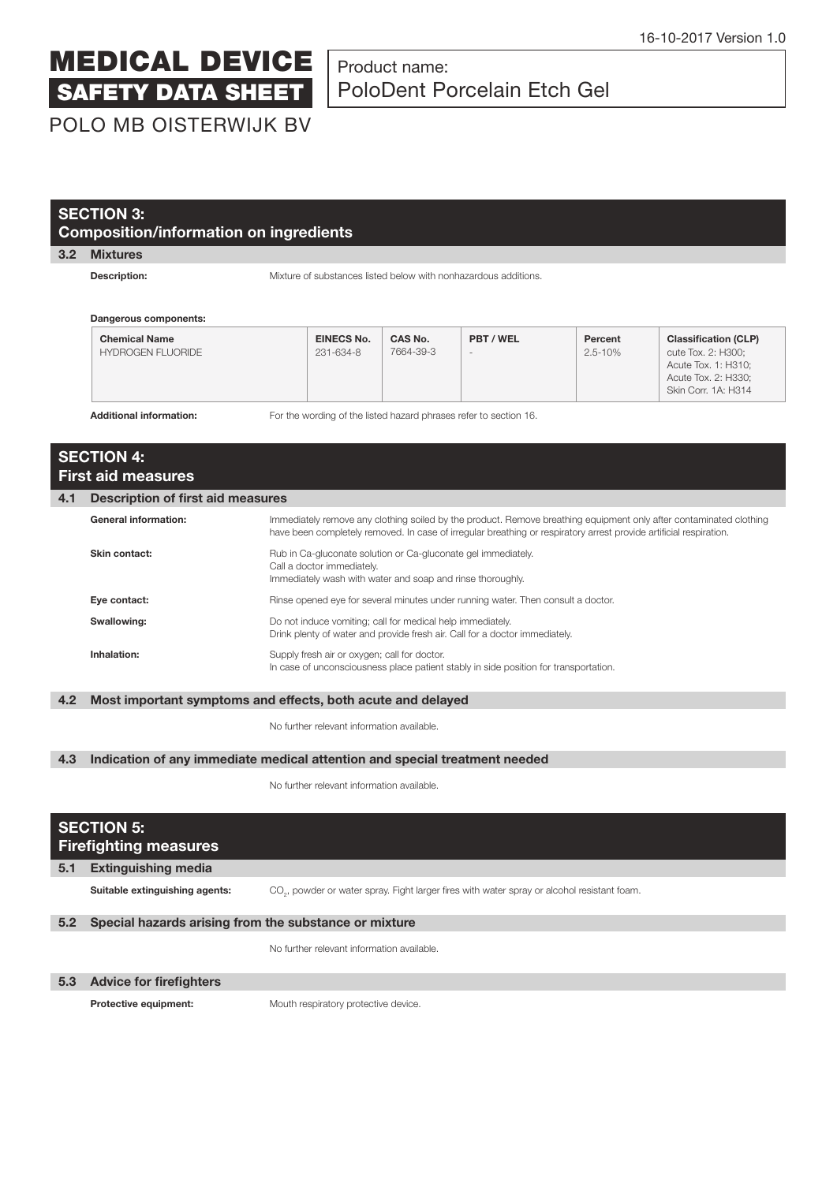### Product name: PoloDent Porcelain Etch Gel

POLO MB OISTERWIJK BV

| <b>SECTION 3:</b> |  |
|-------------------|--|
|                   |  |

### **Composition/information on ingredients**

#### **3.2 Mixtures**

**Description: Mixture of substances listed below with nonhazardous additions.** 

 **Dangerous components:**

| <b>Chemical Name</b><br>HYDROGEN FLUORIDE                                                           | <b>EINECS No.</b><br>231-634-8 | CAS No.<br>7664-39-3 | PBT / WEL<br>$\overline{a}$ | Percent<br>$2.5 - 10%$ | <b>Classification (CLP)</b><br>cute Tox. 2: H300;<br>Acute Tox. 1: H310;<br>Acute Tox. 2: H330;<br>Skin Corr. 1A: H314 |
|-----------------------------------------------------------------------------------------------------|--------------------------------|----------------------|-----------------------------|------------------------|------------------------------------------------------------------------------------------------------------------------|
| For the wording of the listed hazard phrases refer to section 16.<br><b>Additional information:</b> |                                |                      |                             |                        |                                                                                                                        |

 **SECTION 4: First aid measures 4.1 Description of first aid measures** General information: **IMMediately remove any clothing soiled by the product. Remove breathing equipment only after contaminated clothing** have been completely removed. In case of irregular breathing or respiratory arrest provide artificial respiration. **Skin contact: Rub** in Ca-gluconate solution or Ca-gluconate gel immediately. Call a doctor immediately. Immediately wash with water and soap and rinse thoroughly. **Eye contact: Rinse opened eye for several minutes under running water. Then consult a doctor. Swallowing: Constructed Example 20 and induce vomiting; call for medical help immediately.**  Drink plenty of water and provide fresh air. Call for a doctor immediately. **Inhalation:** Supply fresh air or oxygen; call for doctor. In case of unconsciousness place patient stably in side position for transportation.

#### **4.2 Most important symptoms and effects, both acute and delayed**

No further relevant information available.

#### **4.3 Indication of any immediate medical attention and special treatment needed**

No further relevant information available.

|     | <b>SECTION 5:</b><br><b>Firefighting measures</b>     |                                                                                                         |  |  |  |
|-----|-------------------------------------------------------|---------------------------------------------------------------------------------------------------------|--|--|--|
| 5.1 | <b>Extinguishing media</b>                            |                                                                                                         |  |  |  |
|     | Suitable extinguishing agents:                        | CO <sub>2</sub> , powder or water spray. Fight larger fires with water spray or alcohol resistant foam. |  |  |  |
| 5.2 | Special hazards arising from the substance or mixture |                                                                                                         |  |  |  |
|     |                                                       | No further relevant information available.                                                              |  |  |  |
| 5.3 | <b>Advice for firefighters</b>                        |                                                                                                         |  |  |  |
|     | Protective equipment:                                 | Mouth respiratory protective device.                                                                    |  |  |  |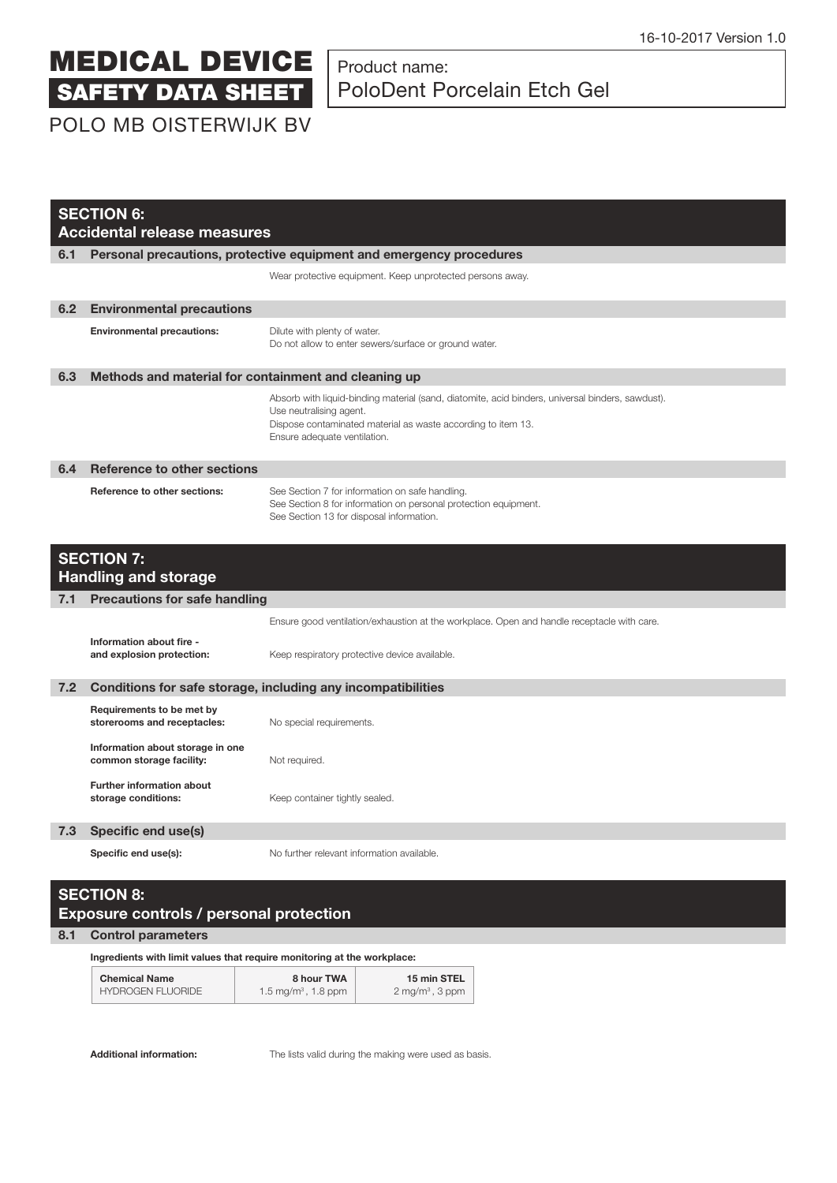### Product name: PoloDent Porcelain Etch Gel

POLO MB OISTERWIJK BV

|     | <b>SECTION 6:</b><br><b>Accidental release measures</b>      |                                                                                                                                                                                                                             |  |  |
|-----|--------------------------------------------------------------|-----------------------------------------------------------------------------------------------------------------------------------------------------------------------------------------------------------------------------|--|--|
| 6.1 |                                                              | Personal precautions, protective equipment and emergency procedures                                                                                                                                                         |  |  |
|     |                                                              | Wear protective equipment. Keep unprotected persons away.                                                                                                                                                                   |  |  |
| 6.2 | <b>Environmental precautions</b>                             |                                                                                                                                                                                                                             |  |  |
|     | <b>Environmental precautions:</b>                            | Dilute with plenty of water.<br>Do not allow to enter sewers/surface or ground water.                                                                                                                                       |  |  |
| 6.3 | Methods and material for containment and cleaning up         |                                                                                                                                                                                                                             |  |  |
|     |                                                              | Absorb with liquid-binding material (sand, diatomite, acid binders, universal binders, sawdust).<br>Use neutralising agent.<br>Dispose contaminated material as waste according to item 13.<br>Ensure adequate ventilation. |  |  |
| 6.4 | <b>Reference to other sections</b>                           |                                                                                                                                                                                                                             |  |  |
|     | <b>Reference to other sections:</b>                          | See Section 7 for information on safe handling.<br>See Section 8 for information on personal protection equipment.<br>See Section 13 for disposal information.                                                              |  |  |
|     | <b>SECTION 7:</b><br><b>Handling and storage</b>             |                                                                                                                                                                                                                             |  |  |
| 7.1 | <b>Precautions for safe handling</b>                         |                                                                                                                                                                                                                             |  |  |
|     |                                                              | Ensure good ventilation/exhaustion at the workplace. Open and handle receptacle with care.                                                                                                                                  |  |  |
|     | Information about fire -<br>and explosion protection:        | Keep respiratory protective device available.                                                                                                                                                                               |  |  |
| 7.2 |                                                              | Conditions for safe storage, including any incompatibilities                                                                                                                                                                |  |  |
|     | Requirements to be met by<br>storerooms and receptacles:     | No special requirements.                                                                                                                                                                                                    |  |  |
|     | Information about storage in one<br>common storage facility: | Not required.                                                                                                                                                                                                               |  |  |
|     | <b>Further information about</b><br>storage conditions:      | Keep container tightly sealed.                                                                                                                                                                                              |  |  |
| 7.3 | Specific end use(s)                                          |                                                                                                                                                                                                                             |  |  |
|     | Specific end use(s):                                         | No further relevant information available.                                                                                                                                                                                  |  |  |

### **SECTION 8: Exposure controls / personal protection**

#### **8.1 Control parameters**

 **Ingredients with limit values that require monitoring at the workplace:**

| <b>Chemical Name</b>     | 8 hour TWA                      | 15 min STEL                |  |
|--------------------------|---------------------------------|----------------------------|--|
| <b>HYDROGEN FLUORIDE</b> | 1.5 mg/m <sup>3</sup> , 1.8 ppm | $2 \text{ mg/m}^3$ , 3 ppm |  |

**Additional information:** The lists valid during the making were used as basis.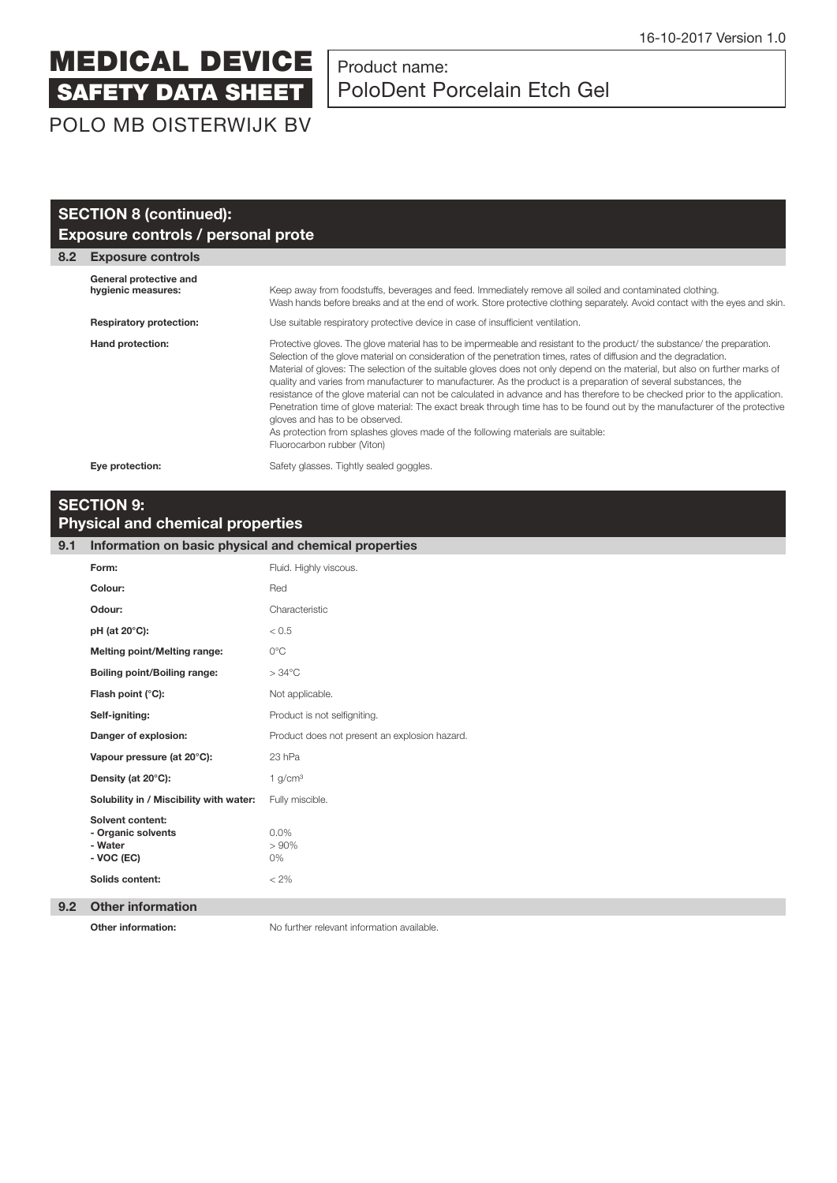### Product name: PoloDent Porcelain Etch Gel

POLO MB OISTERWIJK BV

|     | <b>SECTION 8 (continued):</b>                |                                                                                                                                                                                                                                                                                                                                                                                                                                                                                                                                                                                                                                                                                                                                                                                                                                                                                                                      |  |  |  |
|-----|----------------------------------------------|----------------------------------------------------------------------------------------------------------------------------------------------------------------------------------------------------------------------------------------------------------------------------------------------------------------------------------------------------------------------------------------------------------------------------------------------------------------------------------------------------------------------------------------------------------------------------------------------------------------------------------------------------------------------------------------------------------------------------------------------------------------------------------------------------------------------------------------------------------------------------------------------------------------------|--|--|--|
|     | Exposure controls / personal prote           |                                                                                                                                                                                                                                                                                                                                                                                                                                                                                                                                                                                                                                                                                                                                                                                                                                                                                                                      |  |  |  |
| 8.2 | <b>Exposure controls</b>                     |                                                                                                                                                                                                                                                                                                                                                                                                                                                                                                                                                                                                                                                                                                                                                                                                                                                                                                                      |  |  |  |
|     | General protective and<br>hygienic measures: | Keep away from foodstuffs, beverages and feed. Immediately remove all soiled and contaminated clothing.<br>Wash hands before breaks and at the end of work. Store protective clothing separately. Avoid contact with the eyes and skin.                                                                                                                                                                                                                                                                                                                                                                                                                                                                                                                                                                                                                                                                              |  |  |  |
|     | <b>Respiratory protection:</b>               | Use suitable respiratory protective device in case of insufficient ventilation.                                                                                                                                                                                                                                                                                                                                                                                                                                                                                                                                                                                                                                                                                                                                                                                                                                      |  |  |  |
|     | Hand protection:                             | Protective gloves. The glove material has to be impermeable and resistant to the product/ the substance/ the preparation.<br>Selection of the glove material on consideration of the penetration times, rates of diffusion and the degradation.<br>Material of gloves: The selection of the suitable gloves does not only depend on the material, but also on further marks of<br>quality and varies from manufacturer to manufacturer. As the product is a preparation of several substances, the<br>resistance of the glove material can not be calculated in advance and has therefore to be checked prior to the application.<br>Penetration time of glove material: The exact break through time has to be found out by the manufacturer of the protective<br>gloves and has to be observed.<br>As protection from splashes gloves made of the following materials are suitable:<br>Fluorocarbon rubber (Viton) |  |  |  |
|     | Eye protection:                              | Safety glasses. Tightly sealed goggles.                                                                                                                                                                                                                                                                                                                                                                                                                                                                                                                                                                                                                                                                                                                                                                                                                                                                              |  |  |  |

### **SECTION 9: Physical and chemical properties**

#### **9.1 Information on basic physical and chemical properties**

| Form:                                                                                     | Fluid. Highly viscous.                        |
|-------------------------------------------------------------------------------------------|-----------------------------------------------|
| Colour:                                                                                   | Red                                           |
| Odour:                                                                                    | Characteristic                                |
| pH (at 20°C):                                                                             | < 0.5                                         |
| <b>Melting point/Melting range:</b>                                                       | $0^{\circ}$ C                                 |
| <b>Boiling point/Boiling range:</b>                                                       | $>34^{\circ}$ C                               |
| Flash point (°C):                                                                         | Not applicable.                               |
| Self-igniting:                                                                            | Product is not selfigniting.                  |
| Danger of explosion:                                                                      | Product does not present an explosion hazard. |
| Vapour pressure (at 20°C):                                                                | 23 hPa                                        |
| Density (at 20°C):                                                                        | 1 g/cm <sup>3</sup>                           |
| Solubility in / Miscibility with water:                                                   | Fully miscible.                               |
| <b>Solvent content:</b><br>- Organic solvents<br>- Water<br>- VOC (EC)<br>Solids content: | $0.0\%$<br>>90%<br>0%<br>$< 2\%$              |
|                                                                                           |                                               |

#### **9.2 Other information**

**Other information:** No further relevant information available.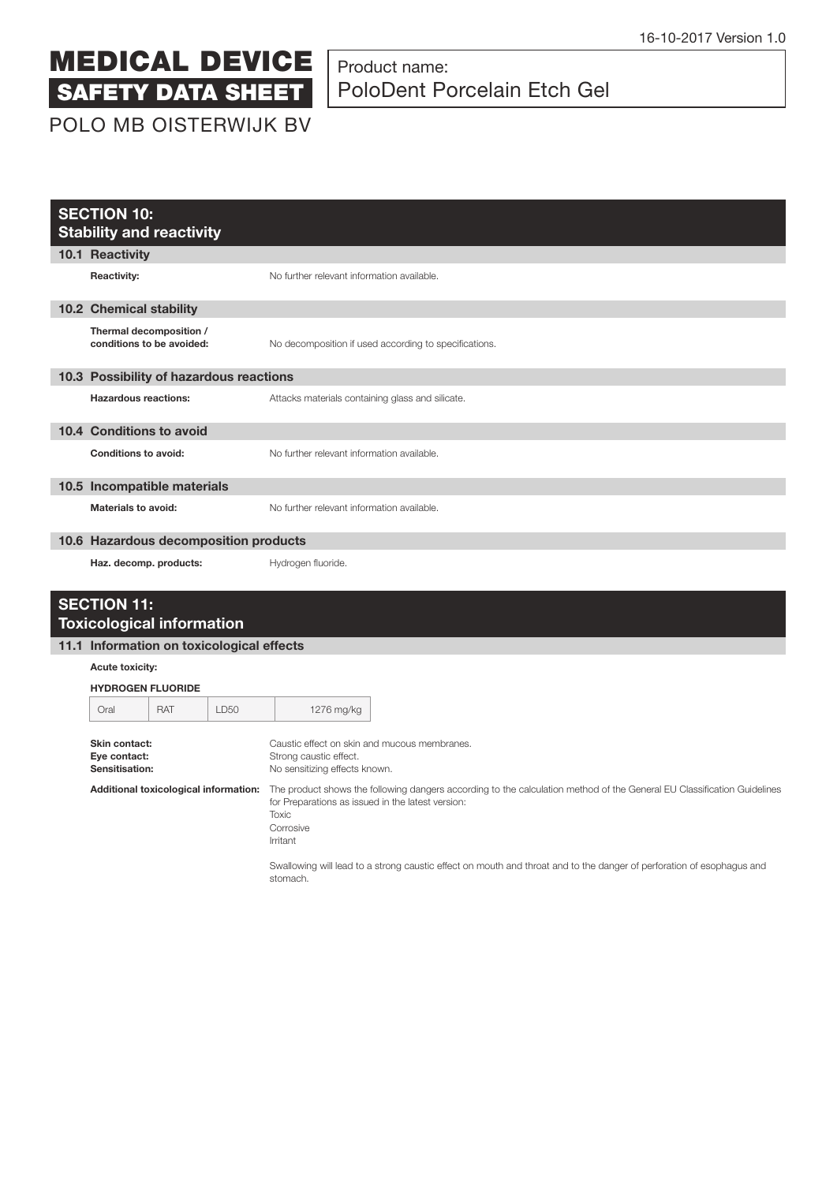# Product name: PoloDent Porcelain Etch Gel

|                                                 | <b>SECTION 10:</b><br><b>Stability and reactivity</b>  |            |                                                                                                         |                                                                                                                                                                                                                       |  |
|-------------------------------------------------|--------------------------------------------------------|------------|---------------------------------------------------------------------------------------------------------|-----------------------------------------------------------------------------------------------------------------------------------------------------------------------------------------------------------------------|--|
|                                                 | 10.1 Reactivity                                        |            |                                                                                                         |                                                                                                                                                                                                                       |  |
|                                                 | <b>Reactivity:</b>                                     |            |                                                                                                         | No further relevant information available.                                                                                                                                                                            |  |
|                                                 | 10.2 Chemical stability                                |            |                                                                                                         |                                                                                                                                                                                                                       |  |
|                                                 | Thermal decomposition /<br>conditions to be avoided:   |            |                                                                                                         | No decomposition if used according to specifications.                                                                                                                                                                 |  |
|                                                 | 10.3 Possibility of hazardous reactions                |            |                                                                                                         |                                                                                                                                                                                                                       |  |
|                                                 | <b>Hazardous reactions:</b>                            |            |                                                                                                         | Attacks materials containing glass and silicate.                                                                                                                                                                      |  |
|                                                 | 10.4 Conditions to avoid                               |            |                                                                                                         |                                                                                                                                                                                                                       |  |
|                                                 | <b>Conditions to avoid:</b>                            |            |                                                                                                         | No further relevant information available.                                                                                                                                                                            |  |
|                                                 | 10.5 Incompatible materials                            |            |                                                                                                         |                                                                                                                                                                                                                       |  |
|                                                 | <b>Materials to avoid:</b>                             |            |                                                                                                         | No further relevant information available.                                                                                                                                                                            |  |
|                                                 | 10.6 Hazardous decomposition products                  |            |                                                                                                         |                                                                                                                                                                                                                       |  |
|                                                 | Haz. decomp. products:                                 |            |                                                                                                         | Hydrogen fluoride.                                                                                                                                                                                                    |  |
|                                                 | <b>SECTION 11:</b><br><b>Toxicological information</b> |            |                                                                                                         |                                                                                                                                                                                                                       |  |
|                                                 | 11.1 Information on toxicological effects              |            |                                                                                                         |                                                                                                                                                                                                                       |  |
|                                                 | Acute toxicity:                                        |            |                                                                                                         |                                                                                                                                                                                                                       |  |
|                                                 | <b>HYDROGEN FLUORIDE</b>                               |            |                                                                                                         |                                                                                                                                                                                                                       |  |
|                                                 | Oral                                                   | <b>RAT</b> | LD50                                                                                                    | 1276 mg/kg                                                                                                                                                                                                            |  |
| Skin contact:<br>Eye contact:<br>Sensitisation: |                                                        |            | Caustic effect on skin and mucous membranes.<br>Strong caustic effect.<br>No sensitizing effects known. |                                                                                                                                                                                                                       |  |
|                                                 | Additional toxicological information:                  |            |                                                                                                         | The product shows the following dangers according to the calculation method of the General EU Classification Guidelines<br>for Preparations as issued in the latest version:<br><b>Toxic</b><br>Corrosive<br>Irritant |  |
|                                                 |                                                        |            |                                                                                                         | Swallowing will lead to a strong caustic effect on mouth and throat and to the danger of perforation of esophagus and                                                                                                 |  |

stomach.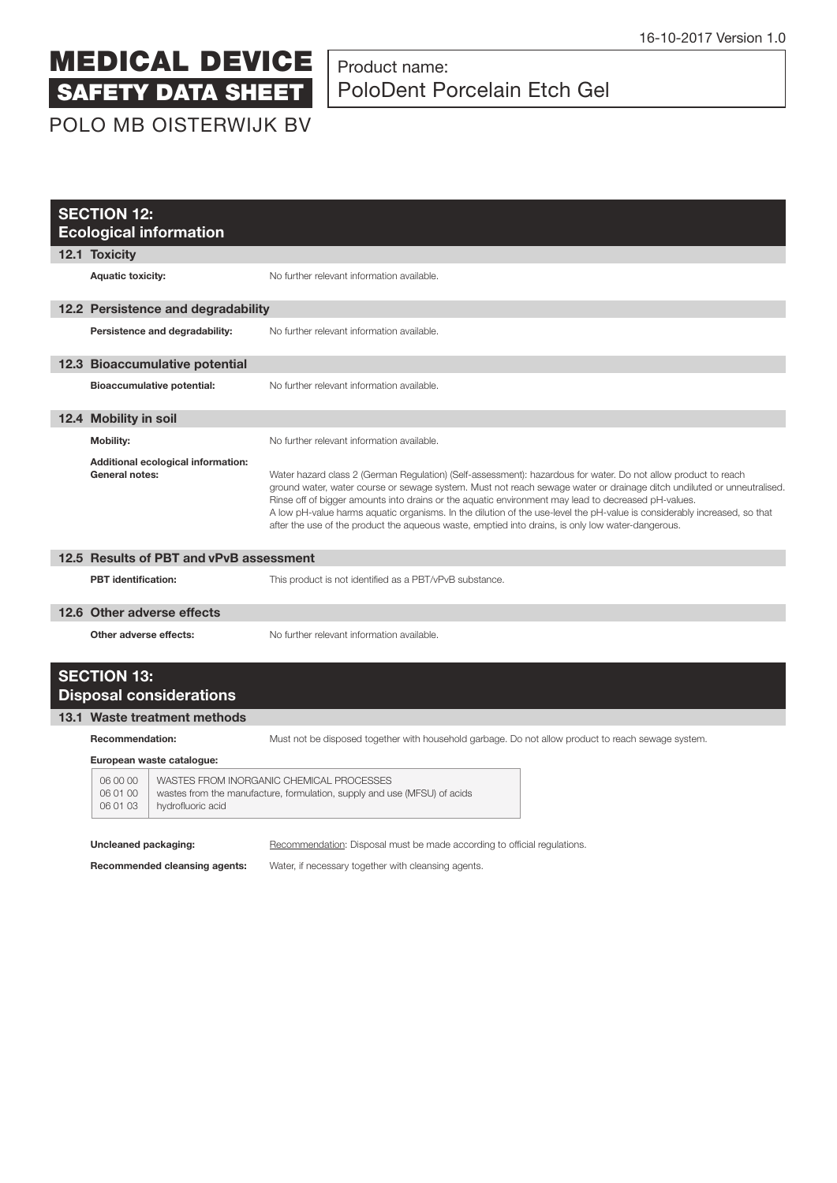# Product name: PoloDent Porcelain Etch Gel

| POLO MB OISTERWIJK BV |  |  |  |  |  |  |
|-----------------------|--|--|--|--|--|--|
|-----------------------|--|--|--|--|--|--|

| <b>SECTION 12:</b><br><b>Ecological information</b>         |                                                                                                                                                                                                                                                                                                                                                                                                                                                                                                                                                                                  |  |  |  |
|-------------------------------------------------------------|----------------------------------------------------------------------------------------------------------------------------------------------------------------------------------------------------------------------------------------------------------------------------------------------------------------------------------------------------------------------------------------------------------------------------------------------------------------------------------------------------------------------------------------------------------------------------------|--|--|--|
| 12.1 Toxicity                                               |                                                                                                                                                                                                                                                                                                                                                                                                                                                                                                                                                                                  |  |  |  |
| <b>Aquatic toxicity:</b>                                    | No further relevant information available.                                                                                                                                                                                                                                                                                                                                                                                                                                                                                                                                       |  |  |  |
| 12.2 Persistence and degradability                          |                                                                                                                                                                                                                                                                                                                                                                                                                                                                                                                                                                                  |  |  |  |
| Persistence and degradability:                              | No further relevant information available.                                                                                                                                                                                                                                                                                                                                                                                                                                                                                                                                       |  |  |  |
| 12.3 Bioaccumulative potential                              |                                                                                                                                                                                                                                                                                                                                                                                                                                                                                                                                                                                  |  |  |  |
| <b>Bioaccumulative potential:</b>                           | No further relevant information available.                                                                                                                                                                                                                                                                                                                                                                                                                                                                                                                                       |  |  |  |
| 12.4 Mobility in soil                                       |                                                                                                                                                                                                                                                                                                                                                                                                                                                                                                                                                                                  |  |  |  |
| <b>Mobility:</b>                                            | No further relevant information available                                                                                                                                                                                                                                                                                                                                                                                                                                                                                                                                        |  |  |  |
| Additional ecological information:<br><b>General notes:</b> | Water hazard class 2 (German Regulation) (Self-assessment): hazardous for water. Do not allow product to reach<br>ground water, water course or sewage system. Must not reach sewage water or drainage ditch undiluted or unneutralised.<br>Rinse off of bigger amounts into drains or the aquatic environment may lead to decreased pH-values.<br>A low pH-value harms aquatic organisms. In the dilution of the use-level the pH-value is considerably increased, so that<br>after the use of the product the aqueous waste, emptied into drains, is only low water-dangerous. |  |  |  |
| 12.5 Results of PBT and vPvB assessment                     |                                                                                                                                                                                                                                                                                                                                                                                                                                                                                                                                                                                  |  |  |  |
| <b>PBT</b> identification:                                  | This product is not identified as a PBT/vPvB substance.                                                                                                                                                                                                                                                                                                                                                                                                                                                                                                                          |  |  |  |
| 12.6 Other adverse effects                                  |                                                                                                                                                                                                                                                                                                                                                                                                                                                                                                                                                                                  |  |  |  |
| Other adverse effects:                                      | No further relevant information available.                                                                                                                                                                                                                                                                                                                                                                                                                                                                                                                                       |  |  |  |
| <b>SECTION 13:</b><br><b>Disposal considerations</b>        |                                                                                                                                                                                                                                                                                                                                                                                                                                                                                                                                                                                  |  |  |  |
| 13.1 Waste treatment methods                                |                                                                                                                                                                                                                                                                                                                                                                                                                                                                                                                                                                                  |  |  |  |
| <b>Recommendation:</b><br>European waste catalogue:         | Must not be disposed together with household garbage. Do not allow product to reach sewage system.                                                                                                                                                                                                                                                                                                                                                                                                                                                                               |  |  |  |

| 00 00 | WASTES FROM INORGANIC CHEMICAL PROCESSES                                 |
|-------|--------------------------------------------------------------------------|
| 01 00 | wastes from the manufacture, formulation, supply and use (MFSU) of acids |
| 01 03 | hydrofluoric acid                                                        |

**Uncleaned packaging:** Recommendation: Disposal must be made according to official regulations.

**Recommended cleansing agents:** Water, if necessary together with cleansing agents.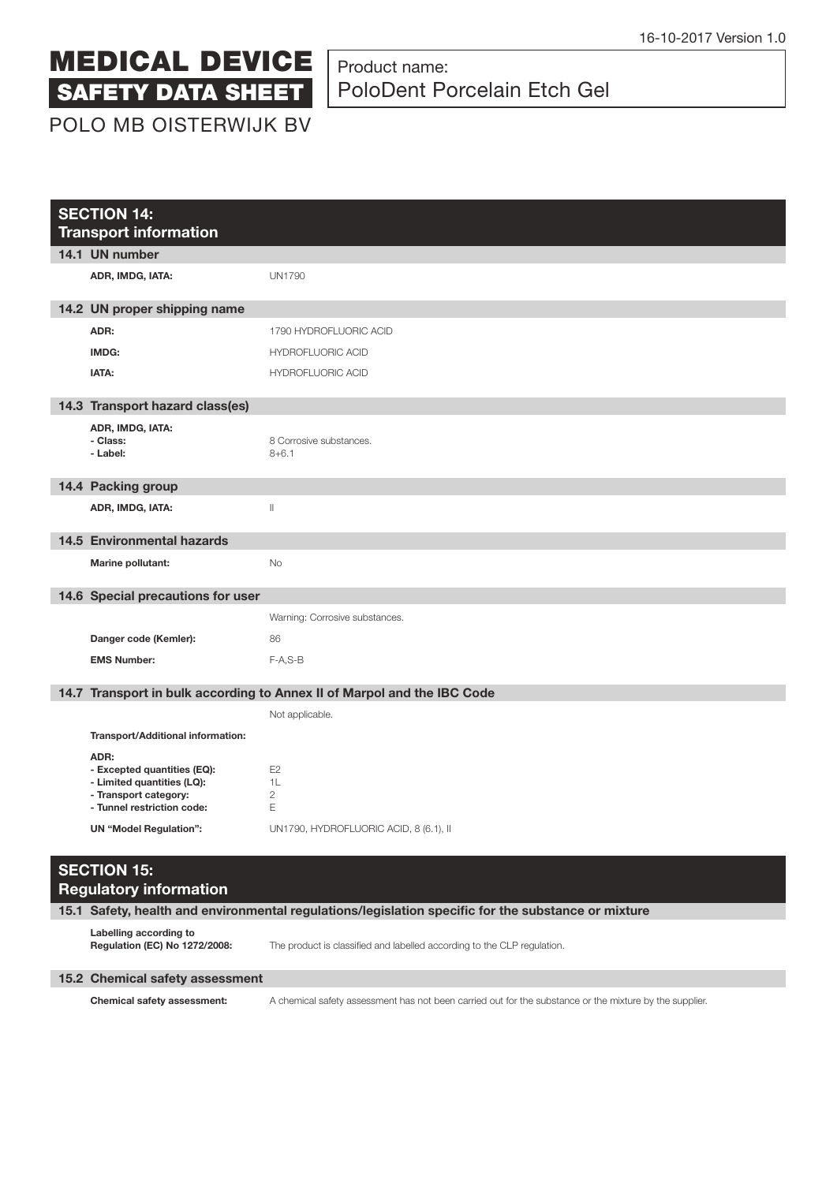

### Product name: PoloDent Porcelain Etch Gel

POLO MB OISTERWIJK BV

| <b>SECTION 14:</b><br><b>Transport information</b> |                                                                                                                          |                                                                                                     |  |
|----------------------------------------------------|--------------------------------------------------------------------------------------------------------------------------|-----------------------------------------------------------------------------------------------------|--|
|                                                    | 14.1 UN number                                                                                                           |                                                                                                     |  |
|                                                    | ADR, IMDG, IATA:                                                                                                         | <b>UN1790</b>                                                                                       |  |
|                                                    | 14.2 UN proper shipping name                                                                                             |                                                                                                     |  |
|                                                    | ADR:                                                                                                                     | 1790 HYDROFLUORIC ACID                                                                              |  |
|                                                    | IMDG:                                                                                                                    | <b>HYDROFLUORIC ACID</b>                                                                            |  |
|                                                    | IATA:                                                                                                                    | <b>HYDROFLUORIC ACID</b>                                                                            |  |
|                                                    | 14.3 Transport hazard class(es)                                                                                          |                                                                                                     |  |
|                                                    | ADR, IMDG, IATA:<br>- Class:<br>- Label:                                                                                 | 8 Corrosive substances.<br>$8 + 6.1$                                                                |  |
|                                                    | 14.4 Packing group                                                                                                       |                                                                                                     |  |
|                                                    | ADR, IMDG, IATA:                                                                                                         | $\lvert \rvert$                                                                                     |  |
|                                                    | <b>14.5 Environmental hazards</b>                                                                                        |                                                                                                     |  |
|                                                    | Marine pollutant:                                                                                                        | No                                                                                                  |  |
|                                                    | 14.6 Special precautions for user                                                                                        |                                                                                                     |  |
|                                                    |                                                                                                                          | Warning: Corrosive substances.                                                                      |  |
|                                                    | Danger code (Kemler):                                                                                                    | 86                                                                                                  |  |
|                                                    | <b>EMS Number:</b>                                                                                                       | $F-A, S-B$                                                                                          |  |
|                                                    |                                                                                                                          | 14.7 Transport in bulk according to Annex II of Marpol and the IBC Code                             |  |
|                                                    |                                                                                                                          | Not applicable.                                                                                     |  |
|                                                    | Transport/Additional information:                                                                                        |                                                                                                     |  |
|                                                    | ADR:<br>- Excepted quantities (EQ):<br>- Limited quantities (LQ):<br>- Transport category:<br>- Tunnel restriction code: | E <sub>2</sub><br>1L<br>$\overline{c}$<br>E                                                         |  |
|                                                    | <b>UN "Model Regulation":</b>                                                                                            | UN1790, HYDROFLUORIC ACID, 8 (6.1), II                                                              |  |
|                                                    | <b>SECTION 15:</b><br><b>Regulatory information</b>                                                                      | 15.1 Safety, health and environmental regulations/legislation specific for the substance or mixture |  |
|                                                    |                                                                                                                          |                                                                                                     |  |

**Labelling according to** 

The product is classified and labelled according to the CLP regulation.

#### **15.2 Chemical safety assessment**

 **Chemical safety assessment:** A chemical safety assessment has not been carried out for the substance or the mixture by the supplier.